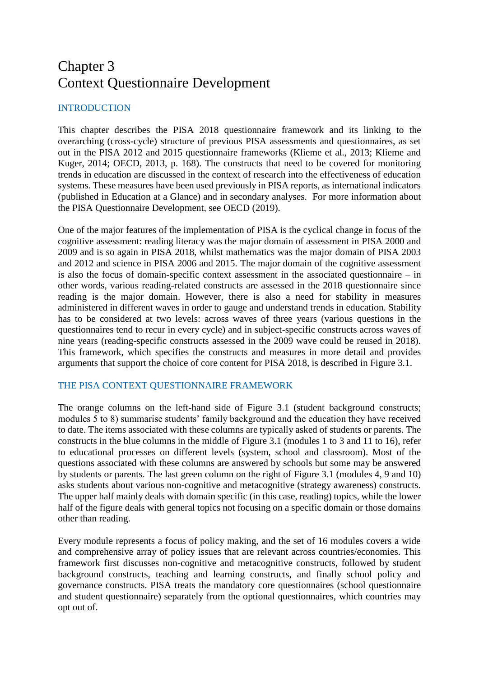# Chapter 3 Context Questionnaire Development

# INTRODUCTION

This chapter describes the PISA 2018 questionnaire framework and its linking to the overarching (cross-cycle) structure of previous PISA assessments and questionnaires, as set out in the PISA 2012 and 2015 questionnaire frameworks (Klieme et al., 2013; Klieme and Kuger, 2014; OECD, 2013, p. 168). The constructs that need to be covered for monitoring trends in education are discussed in the context of research into the effectiveness of education systems. These measures have been used previously in PISA reports, as international indicators (published in Education at a Glance) and in secondary analyses. For more information about the PISA Questionnaire Development, see OECD (2019).

One of the major features of the implementation of PISA is the cyclical change in focus of the cognitive assessment: reading literacy was the major domain of assessment in PISA 2000 and 2009 and is so again in PISA 2018, whilst mathematics was the major domain of PISA 2003 and 2012 and science in PISA 2006 and 2015. The major domain of the cognitive assessment is also the focus of domain-specific context assessment in the associated questionnaire – in other words, various reading-related constructs are assessed in the 2018 questionnaire since reading is the major domain. However, there is also a need for stability in measures administered in different waves in order to gauge and understand trends in education. Stability has to be considered at two levels: across waves of three years (various questions in the questionnaires tend to recur in every cycle) and in subject-specific constructs across waves of nine years (reading-specific constructs assessed in the 2009 wave could be reused in 2018). This framework, which specifies the constructs and measures in more detail and provides arguments that support the choice of core content for PISA 2018, is described in Figure 3.1.

# THE PISA CONTEXT QUESTIONNAIRE FRAMEWORK

The orange columns on the left-hand side of Figure 3.1 (student background constructs; modules 5 to 8) summarise students' family background and the education they have received to date. The items associated with these columns are typically asked of students or parents. The constructs in the blue columns in the middle of Figure 3.1 (modules 1 to 3 and 11 to 16), refer to educational processes on different levels (system, school and classroom). Most of the questions associated with these columns are answered by schools but some may be answered by students or parents. The last green column on the right of Figure 3.1 (modules 4, 9 and 10) asks students about various non-cognitive and metacognitive (strategy awareness) constructs. The upper half mainly deals with domain specific (in this case, reading) topics, while the lower half of the figure deals with general topics not focusing on a specific domain or those domains other than reading.

Every module represents a focus of policy making, and the set of 16 modules covers a wide and comprehensive array of policy issues that are relevant across countries/economies. This framework first discusses non-cognitive and metacognitive constructs, followed by student background constructs, teaching and learning constructs, and finally school policy and governance constructs. PISA treats the mandatory core questionnaires (school questionnaire and student questionnaire) separately from the optional questionnaires, which countries may opt out of.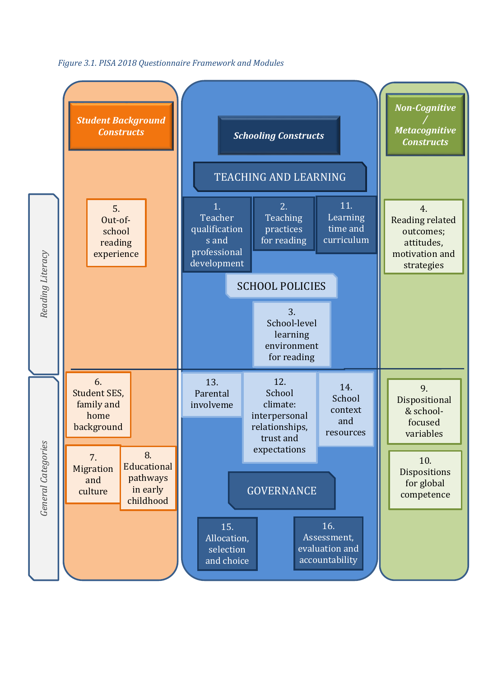

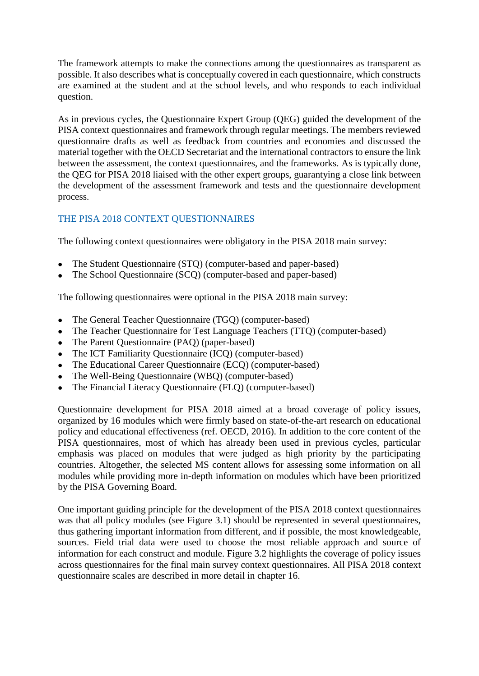The framework attempts to make the connections among the questionnaires as transparent as possible. It also describes what is conceptually covered in each questionnaire, which constructs are examined at the student and at the school levels, and who responds to each individual question.

As in previous cycles, the Questionnaire Expert Group (QEG) guided the development of the PISA context questionnaires and framework through regular meetings. The members reviewed questionnaire drafts as well as feedback from countries and economies and discussed the material together with the OECD Secretariat and the international contractors to ensure the link between the assessment, the context questionnaires, and the frameworks. As is typically done, the QEG for PISA 2018 liaised with the other expert groups, guarantying a close link between the development of the assessment framework and tests and the questionnaire development process.

# THE PISA 2018 CONTEXT QUESTIONNAIRES

The following context questionnaires were obligatory in the PISA 2018 main survey:

- The Student Questionnaire (STQ) (computer-based and paper-based)
- The School Questionnaire (SCQ) (computer-based and paper-based)

The following questionnaires were optional in the PISA 2018 main survey:

- The General Teacher Questionnaire (TGQ) (computer-based)
- The Teacher Questionnaire for Test Language Teachers (TTQ) (computer-based)
- The Parent Questionnaire (PAQ) (paper-based)
- The ICT Familiarity Questionnaire (ICQ) (computer-based)
- The Educational Career Ouestionnaire (ECO) (computer-based)
- The Well-Being Questionnaire (WBQ) (computer-based)
- The Financial Literacy Questionnaire (FLQ) (computer-based)

Questionnaire development for PISA 2018 aimed at a broad coverage of policy issues, organized by 16 modules which were firmly based on state-of-the-art research on educational policy and educational effectiveness (ref. OECD, 2016). In addition to the core content of the PISA questionnaires, most of which has already been used in previous cycles, particular emphasis was placed on modules that were judged as high priority by the participating countries. Altogether, the selected MS content allows for assessing some information on all modules while providing more in-depth information on modules which have been prioritized by the PISA Governing Board.

One important guiding principle for the development of the PISA 2018 context questionnaires was that all policy modules (see Figure 3.1) should be represented in several questionnaires, thus gathering important information from different, and if possible, the most knowledgeable, sources. Field trial data were used to choose the most reliable approach and source of information for each construct and module. Figure 3.2 highlights the coverage of policy issues across questionnaires for the final main survey context questionnaires. All PISA 2018 context questionnaire scales are described in more detail in chapter 16.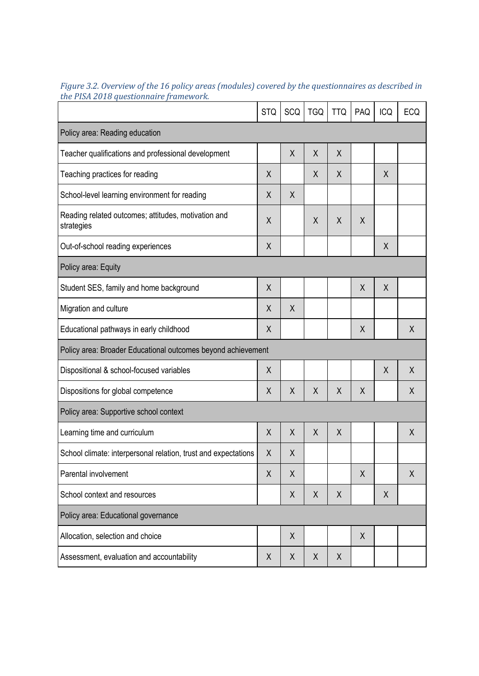|                                                                   | <b>STQ</b> | SCQ     | <b>TGQ</b> | <b>TTQ</b> | PAQ | <b>ICQ</b> | <b>ECQ</b> |
|-------------------------------------------------------------------|------------|---------|------------|------------|-----|------------|------------|
| Policy area: Reading education                                    |            |         |            |            |     |            |            |
| Teacher qualifications and professional development               |            | X       | X          | X          |     |            |            |
| Teaching practices for reading                                    | X          |         | X          | X          |     | X          |            |
| School-level learning environment for reading                     | X          | X       |            |            |     |            |            |
| Reading related outcomes; attitudes, motivation and<br>strategies | X          |         | X          | X          | X   |            |            |
| Out-of-school reading experiences                                 | X          |         |            |            |     | $\chi$     |            |
| Policy area: Equity                                               |            |         |            |            |     |            |            |
| Student SES, family and home background                           | X          |         |            |            | X   | X          |            |
| Migration and culture                                             | X          | X       |            |            |     |            |            |
| Educational pathways in early childhood                           | X          |         |            |            | X   |            | X          |
| Policy area: Broader Educational outcomes beyond achievement      |            |         |            |            |     |            |            |
| Dispositional & school-focused variables                          | X          |         |            |            |     | X          | X          |
| Dispositions for global competence                                | X          | $\sf X$ | X          | X          | X   |            | X          |
| Policy area: Supportive school context                            |            |         |            |            |     |            |            |
| Learning time and curriculum                                      | X          | X       | X          | Χ          |     |            | Χ          |
| School climate: interpersonal relation, trust and expectations    | χ          | Χ       |            |            |     |            |            |
| Parental involvement                                              | X          | X       |            |            | Χ   |            | X          |
| School context and resources                                      |            | X       | X          | Χ          |     | X          |            |
| Policy area: Educational governance                               |            |         |            |            |     |            |            |
| Allocation, selection and choice                                  |            | $\sf X$ |            |            | Χ   |            |            |
| Assessment, evaluation and accountability                         | X          | Χ       | X          | X          |     |            |            |

*Figure 3.2. Overview of the 16 policy areas (modules) covered by the questionnaires as described in the PISA 2018 questionnaire framework.*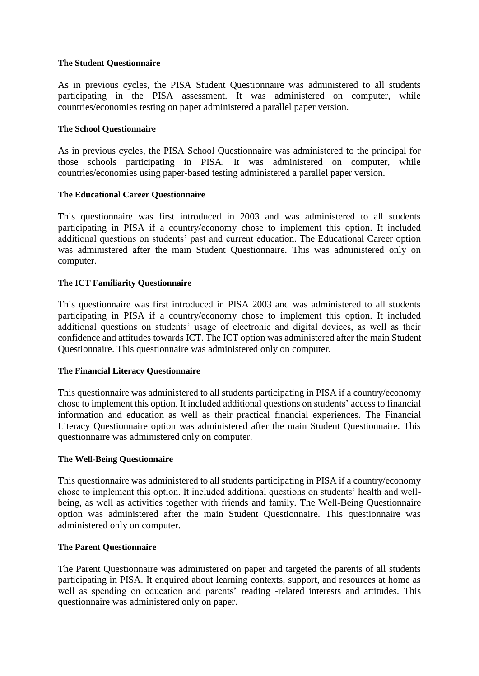# **The Student Questionnaire**

As in previous cycles, the PISA Student Questionnaire was administered to all students participating in the PISA assessment. It was administered on computer, while countries/economies testing on paper administered a parallel paper version.

# **The School Questionnaire**

As in previous cycles, the PISA School Questionnaire was administered to the principal for those schools participating in PISA. It was administered on computer, while countries/economies using paper-based testing administered a parallel paper version.

## **The Educational Career Questionnaire**

This questionnaire was first introduced in 2003 and was administered to all students participating in PISA if a country/economy chose to implement this option. It included additional questions on students' past and current education. The Educational Career option was administered after the main Student Questionnaire. This was administered only on computer.

## **The ICT Familiarity Questionnaire**

This questionnaire was first introduced in PISA 2003 and was administered to all students participating in PISA if a country/economy chose to implement this option. It included additional questions on students' usage of electronic and digital devices, as well as their confidence and attitudes towards ICT. The ICT option was administered after the main Student Questionnaire. This questionnaire was administered only on computer.

#### **The Financial Literacy Questionnaire**

This questionnaire was administered to all students participating in PISA if a country/economy chose to implement this option. It included additional questions on students' access to financial information and education as well as their practical financial experiences. The Financial Literacy Questionnaire option was administered after the main Student Questionnaire. This questionnaire was administered only on computer.

#### **The Well-Being Questionnaire**

This questionnaire was administered to all students participating in PISA if a country/economy chose to implement this option. It included additional questions on students' health and wellbeing, as well as activities together with friends and family. The Well-Being Questionnaire option was administered after the main Student Questionnaire. This questionnaire was administered only on computer.

#### **The Parent Questionnaire**

The Parent Questionnaire was administered on paper and targeted the parents of all students participating in PISA. It enquired about learning contexts, support, and resources at home as well as spending on education and parents' reading -related interests and attitudes. This questionnaire was administered only on paper.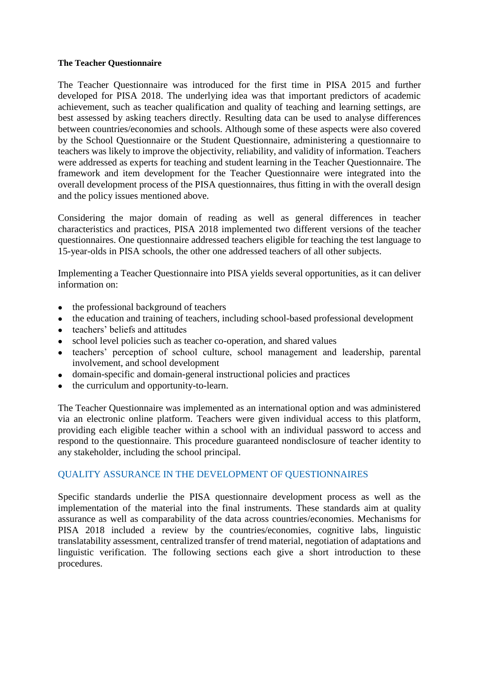# **The Teacher Questionnaire**

The Teacher Questionnaire was introduced for the first time in PISA 2015 and further developed for PISA 2018. The underlying idea was that important predictors of academic achievement, such as teacher qualification and quality of teaching and learning settings, are best assessed by asking teachers directly. Resulting data can be used to analyse differences between countries/economies and schools. Although some of these aspects were also covered by the School Questionnaire or the Student Questionnaire, administering a questionnaire to teachers was likely to improve the objectivity, reliability, and validity of information. Teachers were addressed as experts for teaching and student learning in the Teacher Questionnaire. The framework and item development for the Teacher Questionnaire were integrated into the overall development process of the PISA questionnaires, thus fitting in with the overall design and the policy issues mentioned above.

Considering the major domain of reading as well as general differences in teacher characteristics and practices, PISA 2018 implemented two different versions of the teacher questionnaires. One questionnaire addressed teachers eligible for teaching the test language to 15-year-olds in PISA schools, the other one addressed teachers of all other subjects.

Implementing a Teacher Questionnaire into PISA yields several opportunities, as it can deliver information on:

- the professional background of teachers
- the education and training of teachers, including school-based professional development
- teachers' beliefs and attitudes
- school level policies such as teacher co-operation, and shared values
- teachers' perception of school culture, school management and leadership, parental involvement, and school development
- domain-specific and domain-general instructional policies and practices
- the curriculum and opportunity-to-learn.

The Teacher Questionnaire was implemented as an international option and was administered via an electronic online platform. Teachers were given individual access to this platform, providing each eligible teacher within a school with an individual password to access and respond to the questionnaire. This procedure guaranteed nondisclosure of teacher identity to any stakeholder, including the school principal.

# QUALITY ASSURANCE IN THE DEVELOPMENT OF QUESTIONNAIRES

Specific standards underlie the PISA questionnaire development process as well as the implementation of the material into the final instruments. These standards aim at quality assurance as well as comparability of the data across countries/economies. Mechanisms for PISA 2018 included a review by the countries/economies, cognitive labs, linguistic translatability assessment, centralized transfer of trend material, negotiation of adaptations and linguistic verification. The following sections each give a short introduction to these procedures.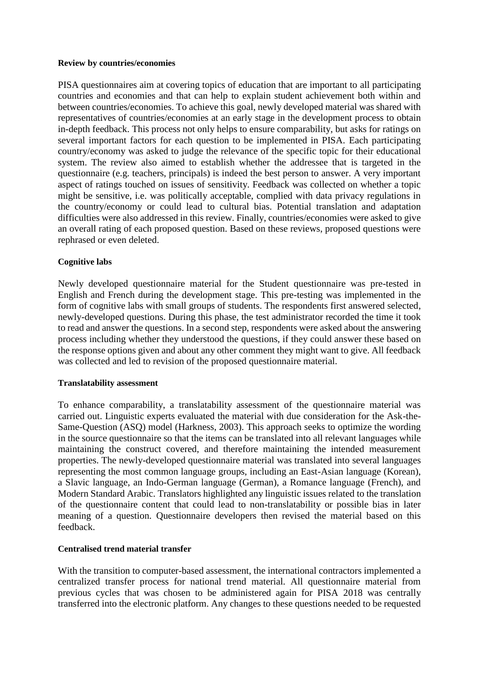#### **Review by countries/economies**

PISA questionnaires aim at covering topics of education that are important to all participating countries and economies and that can help to explain student achievement both within and between countries/economies. To achieve this goal, newly developed material was shared with representatives of countries/economies at an early stage in the development process to obtain in-depth feedback. This process not only helps to ensure comparability, but asks for ratings on several important factors for each question to be implemented in PISA. Each participating country/economy was asked to judge the relevance of the specific topic for their educational system. The review also aimed to establish whether the addressee that is targeted in the questionnaire (e.g. teachers, principals) is indeed the best person to answer. A very important aspect of ratings touched on issues of sensitivity. Feedback was collected on whether a topic might be sensitive, i.e. was politically acceptable, complied with data privacy regulations in the country/economy or could lead to cultural bias. Potential translation and adaptation difficulties were also addressed in this review. Finally, countries/economies were asked to give an overall rating of each proposed question. Based on these reviews, proposed questions were rephrased or even deleted.

# **Cognitive labs**

Newly developed questionnaire material for the Student questionnaire was pre-tested in English and French during the development stage. This pre-testing was implemented in the form of cognitive labs with small groups of students. The respondents first answered selected, newly-developed questions. During this phase, the test administrator recorded the time it took to read and answer the questions. In a second step, respondents were asked about the answering process including whether they understood the questions, if they could answer these based on the response options given and about any other comment they might want to give. All feedback was collected and led to revision of the proposed questionnaire material.

# **Translatability assessment**

To enhance comparability, a translatability assessment of the questionnaire material was carried out. Linguistic experts evaluated the material with due consideration for the Ask-the-Same-Question (ASQ) model (Harkness, 2003). This approach seeks to optimize the wording in the source questionnaire so that the items can be translated into all relevant languages while maintaining the construct covered, and therefore maintaining the intended measurement properties. The newly-developed questionnaire material was translated into several languages representing the most common language groups, including an East-Asian language (Korean), a Slavic language, an Indo-German language (German), a Romance language (French), and Modern Standard Arabic. Translators highlighted any linguistic issues related to the translation of the questionnaire content that could lead to non-translatability or possible bias in later meaning of a question. Questionnaire developers then revised the material based on this feedback.

# **Centralised trend material transfer**

With the transition to computer-based assessment, the international contractors implemented a centralized transfer process for national trend material. All questionnaire material from previous cycles that was chosen to be administered again for PISA 2018 was centrally transferred into the electronic platform. Any changes to these questions needed to be requested